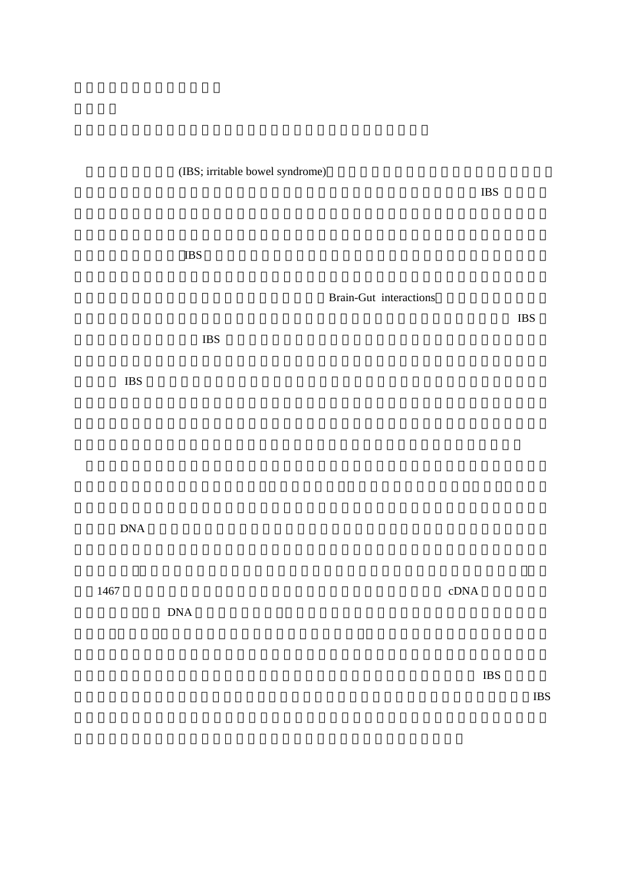## (IBS; irritable bowel syndrome)

 $R$ 

らの研究においても、IBS の発症には環境要因がより重要な役割を果たすと考えられている。

Brain-Gut interactions

 $\overline{S}$ 

 $\overline{S}$ 

 $IBS$ 

 $DNA$ 

end DNA  $\mathcal{L}$ 

 $1467$  cDNA

 $\overline{S}$ 

 $\overline{S}$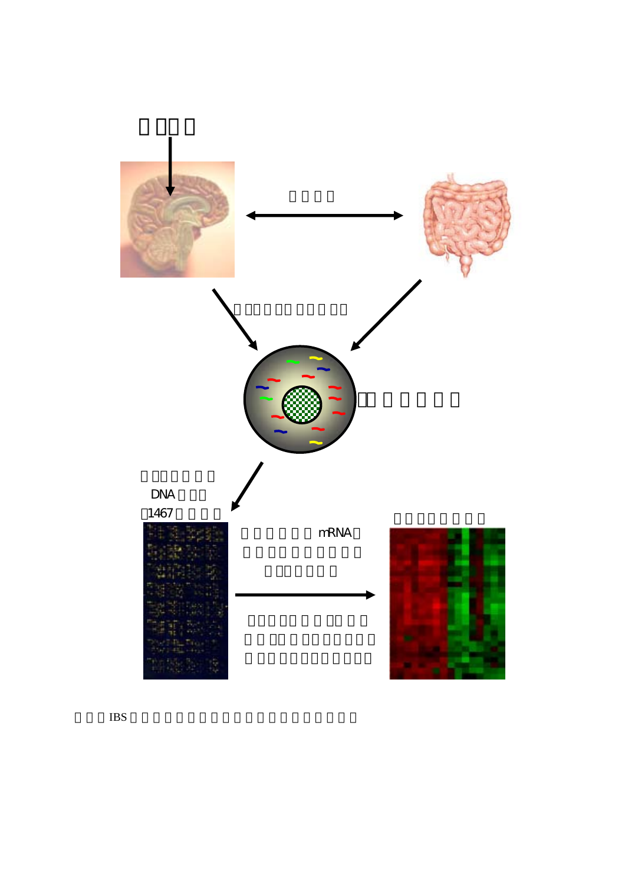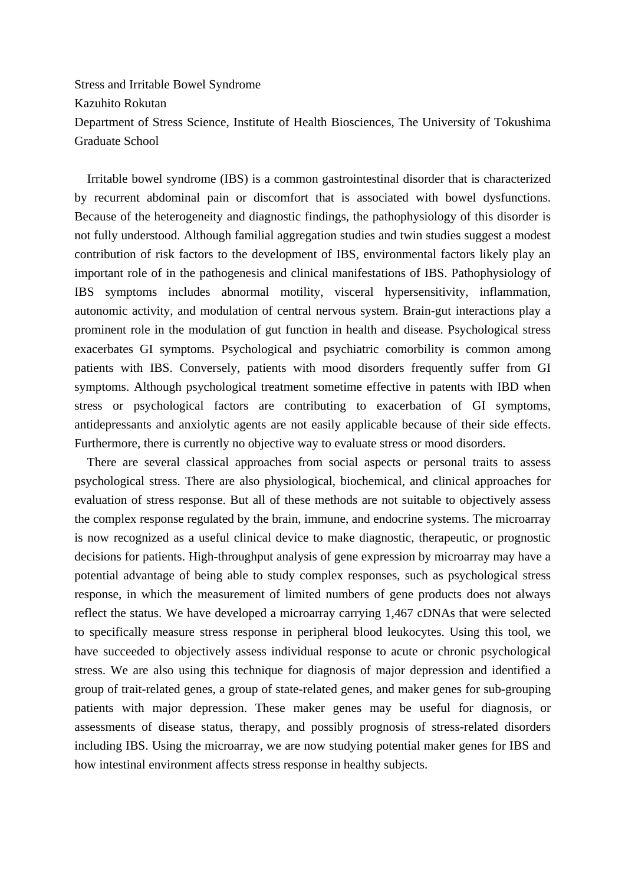Stress and Irritable Bowel Syndrome Kazuhito Rokutan Department of Stress Science, Institute of Health Biosciences, The University of Tokushima Graduate School

Irritable bowel syndrome (IBS) is a common gastrointestinal disorder that is characterized by recurrent abdominal pain or discomfort that is associated with bowel dysfunctions. Because of the heterogeneity and diagnostic findings, the pathophysiology of this disorder is not fully understood. Although familial aggregation studies and twin studies suggest a modest contribution of risk factors to the development of IBS, environmental factors likely play an important role of in the pathogenesis and clinical manifestations of IBS. Pathophysiology of IBS symptoms includes abnormal motility, visceral hypersensitivity, inflammation, autonomic activity, and modulation of central nervous system. Brain-gut interactions play a prominent role in the modulation of gut function in health and disease. Psychological stress exacerbates GI symptoms. Psychological and psychiatric comorbility is common among patients with IBS. Conversely, patients with mood disorders frequently suffer from GI symptoms. Although psychological treatment sometime effective in patents with IBD when stress or psychological factors are contributing to exacerbation of GI symptoms, antidepressants and anxiolytic agents are not easily applicable because of their side effects. Furthermore, there is currently no objective way to evaluate stress or mood disorders.

There are several classical approaches from social aspects or personal traits to assess psychological stress. There are also physiological, biochemical, and clinical approaches for evaluation of stress response. But all of these methods are not suitable to objectively assess the complex response regulated by the brain, immune, and endocrine systems. The microarray is now recognized as a useful clinical device to make diagnostic, therapeutic, or prognostic decisions for patients. High-throughput analysis of gene expression by microarray may have a potential advantage of being able to study complex responses, such as psychological stress response, in which the measurement of limited numbers of gene products does not always reflect the status. We have developed a microarray carrying 1,467 cDNAs that were selected to specifically measure stress response in peripheral blood leukocytes. Using this tool, we have succeeded to objectively assess individual response to acute or chronic psychological stress. We are also using this technique for diagnosis of major depression and identified a group of trait-related genes, a group of state-related genes, and maker genes for sub-grouping patients with major depression. These maker genes may be useful for diagnosis, or assessments of disease status, therapy, and possibly prognosis of stress-related disorders including IBS. Using the microarray, we are now studying potential maker genes for IBS and how intestinal environment affects stress response in healthy subjects.